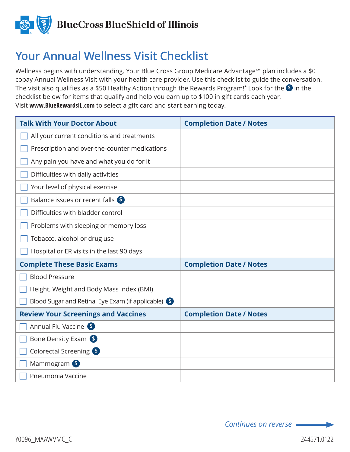

## **Your Annual Wellness Visit Checklist**

Wellness begins with understanding. Your Blue Cross Group Medicare Advantage<sup>sM</sup> plan includes a \$0 copay Annual Wellness Visit with your health care provider. Use this checklist to guide the conversation. The visit also qualifies as a \$50 Healthy Action through the Rewards Program! $^*$  Look for the  $\bullet$  in the checklist below for items that qualify and help you earn up to \$100 in gift cards each year. Visit **www.BlueRewardsIL.com** to select a gift card and start earning today.

| <b>Talk With Your Doctor About</b>                 | <b>Completion Date / Notes</b> |
|----------------------------------------------------|--------------------------------|
| All your current conditions and treatments         |                                |
| Prescription and over-the-counter medications      |                                |
| Any pain you have and what you do for it           |                                |
| Difficulties with daily activities                 |                                |
| Your level of physical exercise                    |                                |
| Balance issues or recent falls \$                  |                                |
| Difficulties with bladder control                  |                                |
| Problems with sleeping or memory loss              |                                |
| Tobacco, alcohol or drug use                       |                                |
| Hospital or ER visits in the last 90 days          |                                |
| <b>Complete These Basic Exams</b>                  | <b>Completion Date / Notes</b> |
| <b>Blood Pressure</b>                              |                                |
| Height, Weight and Body Mass Index (BMI)           |                                |
| Blood Sugar and Retinal Eye Exam (if applicable) S |                                |
| <b>Review Your Screenings and Vaccines</b>         | <b>Completion Date / Notes</b> |
| Annual Flu Vaccine S                               |                                |
| Bone Density Exam                                  |                                |
| Colorectal Screening 6                             |                                |
| Mammogram <sup>\$</sup>                            |                                |
| Pneumonia Vaccine                                  |                                |